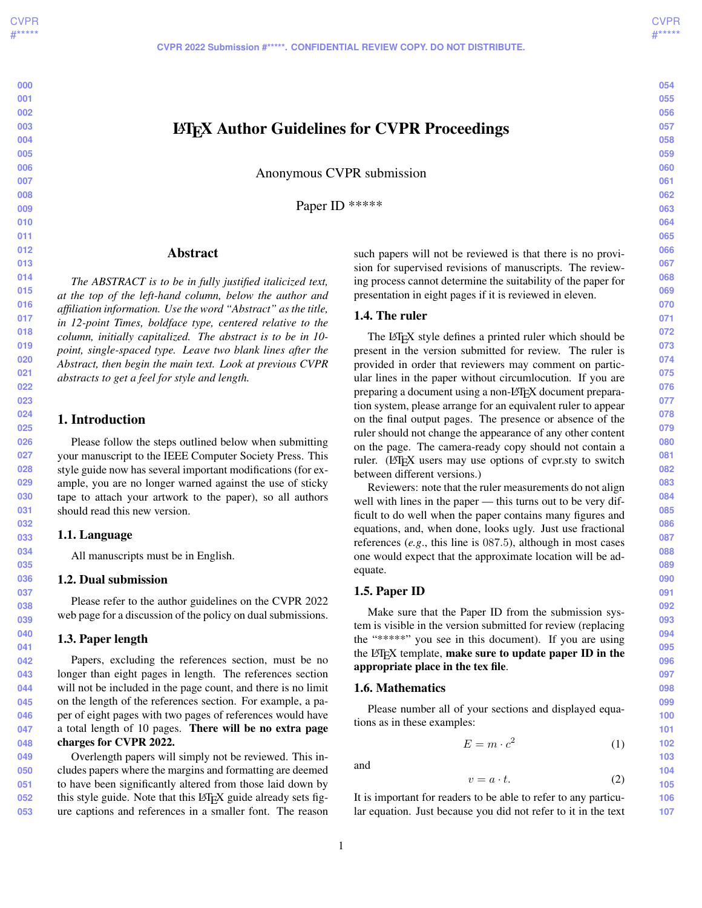**CVPR 2022 Submission #\*\*\*\*\*. CONFIDENTIAL REVIEW COPY. DO NOT DISTRIBUTE.**

# LATEX Author Guidelines for CVPR Proceedings

Anonymous CVPR submission

Paper ID \*\*\*\*\*

## Abstract

*The ABSTRACT is to be in fully justified italicized text, at the top of the left-hand column, below the author and affiliation information. Use the word "Abstract" as the title, in 12-point Times, boldface type, centered relative to the column, initially capitalized. The abstract is to be in 10 point, single-spaced type. Leave two blank lines after the Abstract, then begin the main text. Look at previous CVPR abstracts to get a feel for style and length.*

### 1. Introduction

Please follow the steps outlined below when submitting your manuscript to the IEEE Computer Society Press. This style guide now has several important modifications (for example, you are no longer warned against the use of sticky tape to attach your artwork to the paper), so all authors should read this new version.

#### 1.1. Language

All manuscripts must be in English.

#### 1.2. Dual submission

Please refer to the author guidelines on the CVPR 2022 web page for a discussion of the policy on dual submissions.

#### 1.3. Paper length

Papers, excluding the references section, must be no longer than eight pages in length. The references section will not be included in the page count, and there is no limit on the length of the references section. For example, a paper of eight pages with two pages of references would have a total length of 10 pages. There will be no extra page charges for CVPR 2022.

**049 050 051 052 053** Overlength papers will simply not be reviewed. This includes papers where the margins and formatting are deemed to have been significantly altered from those laid down by this style guide. Note that this LATEX guide already sets figure captions and references in a smaller font. The reason

such papers will not be reviewed is that there is no provision for supervised revisions of manuscripts. The reviewing process cannot determine the suitability of the paper for presentation in eight pages if it is reviewed in eleven.

#### 1.4. The ruler

The LATEX style defines a printed ruler which should be present in the version submitted for review. The ruler is provided in order that reviewers may comment on particular lines in the paper without circumlocution. If you are preparing a document using a non-LAT<sub>EX</sub> document preparation system, please arrange for an equivalent ruler to appear on the final output pages. The presence or absence of the ruler should not change the appearance of any other content on the page. The camera-ready copy should not contain a ruler. (LATEX users may use options of cvpr.sty to switch between different versions.)

Reviewers: note that the ruler measurements do not align well with lines in the paper — this turns out to be very difficult to do well when the paper contains many figures and equations, and, when done, looks ugly. Just use fractional references (*e.g*., this line is 087.5), although in most cases one would expect that the approximate location will be adequate.

#### 1.5. Paper ID

Make sure that the Paper ID from the submission system is visible in the version submitted for review (replacing the "\*\*\*\*\*" you see in this document). If you are using the  $L^{\text{th}}$  template, make sure to update paper ID in the appropriate place in the tex file.

#### 1.6. Mathematics

Please number all of your sections and displayed equations as in these examples:

$$
E = m \cdot c^2 \tag{1}
$$

and

<span id="page-0-0"></span>
$$
v = a \cdot t. \tag{2}
$$

It is important for readers to be able to refer to any particular equation. Just because you did not refer to it in the text **054 055**

**056 057**

**058 059**

**060**

**061 062 063**

**073 074**

**075 076 077**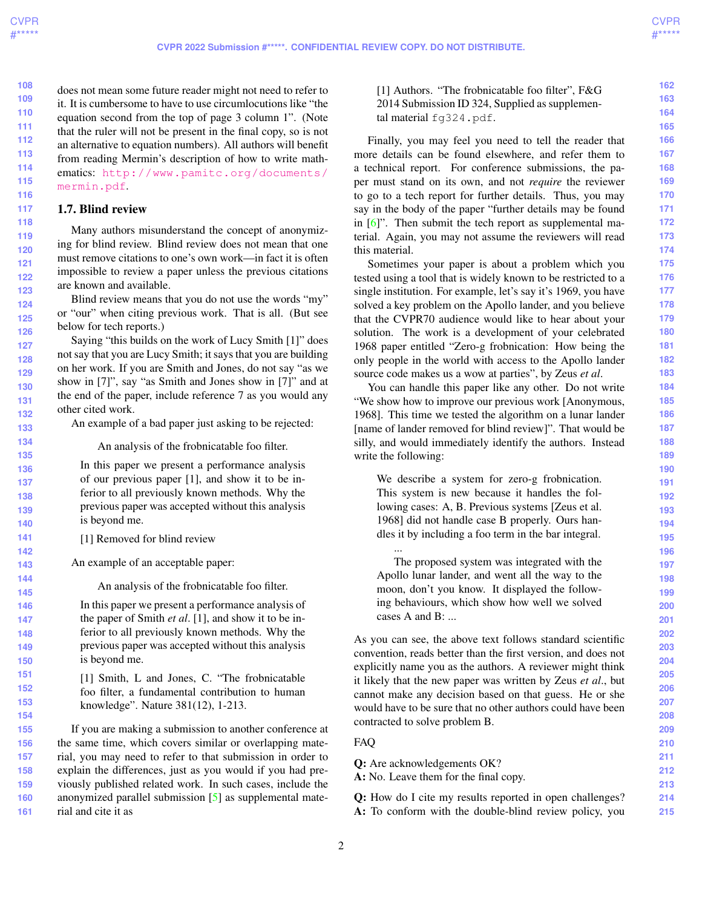**215**

<span id="page-1-0"></span>**108 109 110 111 112 113 114 115 116** does not mean some future reader might not need to refer to it. It is cumbersome to have to use circumlocutions like "the equation second from the top of page 3 column 1". (Note that the ruler will not be present in the final copy, so is not an alternative to equation numbers). All authors will benefit from reading Mermin's description of how to write mathematics: [http://www.pamitc.org/documents/](http://www.pamitc.org/documents/mermin.pdf) [mermin.pdf](http://www.pamitc.org/documents/mermin.pdf).

#### **117** 1.7. Blind review

Many authors misunderstand the concept of anonymizing for blind review. Blind review does not mean that one must remove citations to one's own work—in fact it is often impossible to review a paper unless the previous citations are known and available.

Blind review means that you do not use the words "my" or "our" when citing previous work. That is all. (But see below for tech reports.)

Saying "this builds on the work of Lucy Smith [1]" does not say that you are Lucy Smith; it says that you are building on her work. If you are Smith and Jones, do not say "as we show in [7]", say "as Smith and Jones show in [7]" and at the end of the paper, include reference 7 as you would any other cited work.

An example of a bad paper just asking to be rejected:

An analysis of the frobnicatable foo filter.

In this paper we present a performance analysis of our previous paper [1], and show it to be inferior to all previously known methods. Why the previous paper was accepted without this analysis is beyond me.

[1] Removed for blind review

An example of an acceptable paper:

An analysis of the frobnicatable foo filter.

**146 147 148 149 150** In this paper we present a performance analysis of the paper of Smith *et al*. [1], and show it to be inferior to all previously known methods. Why the previous paper was accepted without this analysis is beyond me.

> [1] Smith, L and Jones, C. "The frobnicatable foo filter, a fundamental contribution to human knowledge". Nature 381(12), 1-213.

**155 156 157 158 159 160 161** If you are making a submission to another conference at the same time, which covers similar or overlapping material, you may need to refer to that submission in order to explain the differences, just as you would if you had previously published related work. In such cases, include the anonymized parallel submission [\[5\]](#page-4-0) as supplemental material and cite it as

[1] Authors. "The frobnicatable foo filter", F&G 2014 Submission ID 324, Supplied as supplemental material fg324.pdf.

Finally, you may feel you need to tell the reader that more details can be found elsewhere, and refer them to a technical report. For conference submissions, the paper must stand on its own, and not *require* the reviewer to go to a tech report for further details. Thus, you may say in the body of the paper "further details may be found in  $[6]$ ". Then submit the tech report as supplemental material. Again, you may not assume the reviewers will read this material.

Sometimes your paper is about a problem which you tested using a tool that is widely known to be restricted to a single institution. For example, let's say it's 1969, you have solved a key problem on the Apollo lander, and you believe that the CVPR70 audience would like to hear about your solution. The work is a development of your celebrated 1968 paper entitled "Zero-g frobnication: How being the only people in the world with access to the Apollo lander source code makes us a wow at parties", by Zeus *et al*.

You can handle this paper like any other. Do not write "We show how to improve our previous work [Anonymous, 1968]. This time we tested the algorithm on a lunar lander [name of lander removed for blind review]". That would be silly, and would immediately identify the authors. Instead write the following:

We describe a system for zero-g frobnication. This system is new because it handles the following cases: A, B. Previous systems [Zeus et al. 1968] did not handle case B properly. Ours handles it by including a foo term in the bar integral.

... The proposed system was integrated with the Apollo lunar lander, and went all the way to the moon, don't you know. It displayed the following behaviours, which show how well we solved cases A and B: ...

As you can see, the above text follows standard scientific convention, reads better than the first version, and does not explicitly name you as the authors. A reviewer might think it likely that the new paper was written by Zeus *et al*., but cannot make any decision based on that guess. He or she would have to be sure that no other authors could have been contracted to solve problem B.

FAQ

**211 212 213 214** Q: Are acknowledgements OK? A: No. Leave them for the final copy. Q: How do I cite my results reported in open challenges?

A: To conform with the double-blind review policy, you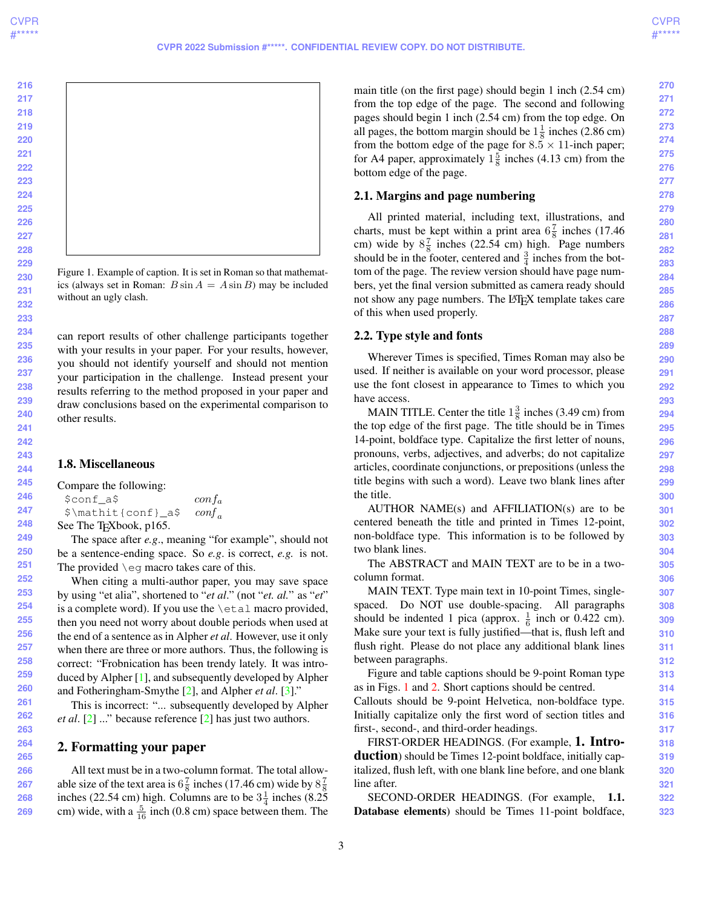**269**

<span id="page-2-2"></span><span id="page-2-0"></span>

Figure 1. Example of caption. It is set in Roman so that mathematics (always set in Roman:  $B \sin A = A \sin B$ ) may be included without an ugly clash.

can report results of other challenge participants together with your results in your paper. For your results, however, you should not identify yourself and should not mention your participation in the challenge. Instead present your results referring to the method proposed in your paper and draw conclusions based on the experimental comparison to other results.

#### 1.8. Miscellaneous

Compare the following:

| \$conf a\$                          | $\frac{\text{conf}_a}{\text{f}_a}$ |
|-------------------------------------|------------------------------------|
| \$\mathit{conf}_a\$                 | $\text{conf}_{\alpha}$             |
| See The T <sub>F</sub> Xbook, p165. |                                    |

The space after *e.g*., meaning "for example", should not be a sentence-ending space. So *e.g*. is correct, *e.g.* is not. The provided \eg macro takes care of this.

When citing a multi-author paper, you may save space by using "et alia", shortened to "*et al*." (not "*et. al.*" as "*et*" is a complete word). If you use the  $\eta$  and macro provided, then you need not worry about double periods when used at the end of a sentence as in Alpher *et al*. However, use it only when there are three or more authors. Thus, the following is correct: "Frobnication has been trendy lately. It was introduced by Alpher [\[1\]](#page-4-2), and subsequently developed by Alpher and Fotheringham-Smythe [\[2\]](#page-4-3), and Alpher *et al*. [\[3\]](#page-4-4)."

This is incorrect: "... subsequently developed by Alpher *et al*. [\[2\]](#page-4-3) ..." because reference [\[2\]](#page-4-3) has just two authors.

#### <span id="page-2-1"></span>2. Formatting your paper

All text must be in a two-column format. The total allowable size of the text area is  $6\frac{7}{8}$  inches (17.46 cm) wide by  $8\frac{7}{8}$ inches (22.54 cm) high. Columns are to be  $3\frac{1}{4}$  inches (8.25) cm) wide, with a  $\frac{5}{16}$  inch (0.8 cm) space between them. The main title (on the first page) should begin 1 inch (2.54 cm) from the top edge of the page. The second and following pages should begin 1 inch (2.54 cm) from the top edge. On all pages, the bottom margin should be  $1\frac{1}{8}$  inches (2.86 cm) from the bottom edge of the page for  $8.5 \times 11$ -inch paper; for A4 paper, approximately  $1\frac{5}{8}$  inches (4.13 cm) from the bottom edge of the page.

#### 2.1. Margins and page numbering

All printed material, including text, illustrations, and charts, must be kept within a print area  $6\frac{7}{8}$  inches (17.46) cm) wide by  $8\frac{7}{8}$  inches (22.54 cm) high. Page numbers should be in the footer, centered and  $\frac{3}{4}$  inches from the bottom of the page. The review version should have page numbers, yet the final version submitted as camera ready should not show any page numbers. The LAT<sub>E</sub>X template takes care of this when used properly.

#### 2.2. Type style and fonts

Wherever Times is specified, Times Roman may also be used. If neither is available on your word processor, please use the font closest in appearance to Times to which you have access.

MAIN TITLE. Center the title  $1\frac{3}{8}$  inches (3.49 cm) from the top edge of the first page. The title should be in Times 14-point, boldface type. Capitalize the first letter of nouns, pronouns, verbs, adjectives, and adverbs; do not capitalize articles, coordinate conjunctions, or prepositions (unless the title begins with such a word). Leave two blank lines after the title.

AUTHOR NAME(s) and AFFILIATION(s) are to be centered beneath the title and printed in Times 12-point, non-boldface type. This information is to be followed by two blank lines.

The ABSTRACT and MAIN TEXT are to be in a twocolumn format.

MAIN TEXT. Type main text in 10-point Times, singlespaced. Do NOT use double-spacing. All paragraphs should be indented 1 pica (approx.  $\frac{1}{6}$  inch or 0.422 cm). Make sure your text is fully justified—that is, flush left and flush right. Please do not place any additional blank lines between paragraphs.

Figure and table captions should be 9-point Roman type as in Figs. [1](#page-2-0) and [2.](#page-3-0) Short captions should be centred. Callouts should be 9-point Helvetica, non-boldface type. Initially capitalize only the first word of section titles and first-, second-, and third-order headings.

FIRST-ORDER HEADINGS. (For example, 1. Introduction) should be Times 12-point boldface, initially capitalized, flush left, with one blank line before, and one blank line after.

SECOND-ORDER HEADINGS. (For example, 1.1. Database elements) should be Times 11-point boldface,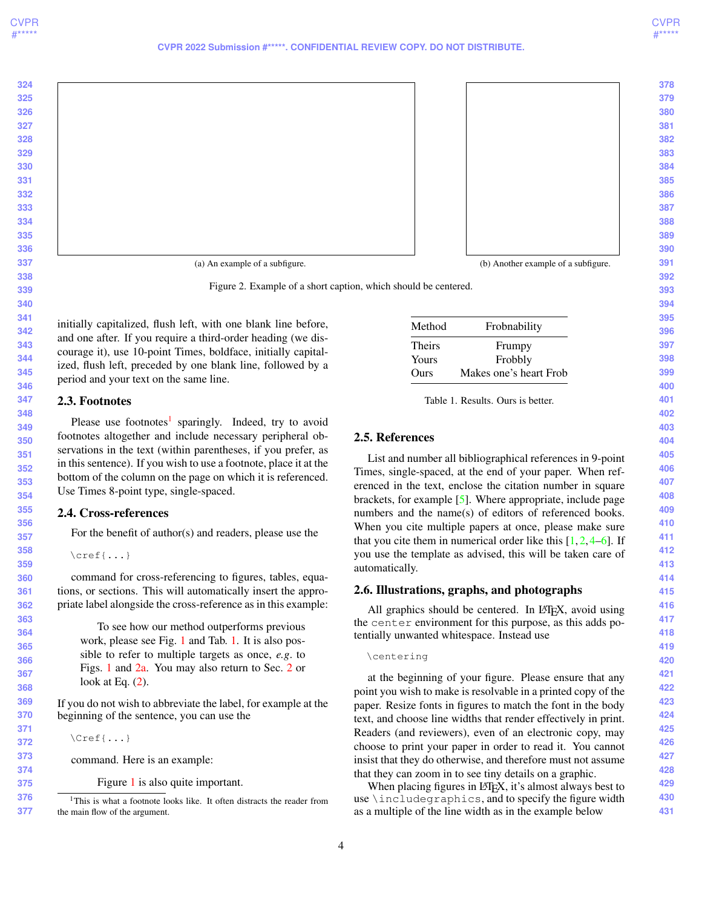<span id="page-3-3"></span><span id="page-3-0"></span>

Figure 2. Example of a short caption, which should be centered.

initially capitalized, flush left, with one blank line before, and one after. If you require a third-order heading (we discourage it), use 10-point Times, boldface, initially capitalized, flush left, preceded by one blank line, followed by a period and your text on the same line.

#### 2.3. Footnotes

Please use footnotes<sup>[1](#page-3-1)</sup> sparingly. Indeed, try to avoid footnotes altogether and include necessary peripheral observations in the text (within parentheses, if you prefer, as in this sentence). If you wish to use a footnote, place it at the bottom of the column on the page on which it is referenced. Use Times 8-point type, single-spaced.

#### 2.4. Cross-references

For the benefit of author(s) and readers, please use the

\cref{...}

command for cross-referencing to figures, tables, equations, or sections. This will automatically insert the appropriate label alongside the cross-reference as in this example:

To see how our method outperforms previous work, please see Fig. [1](#page-2-0) and Tab. [1.](#page-3-2) It is also possible to refer to multiple targets as once, *e.g*. to Figs. [1](#page-2-0) and [2a.](#page-3-0) You may also return to Sec. [2](#page-2-1) or look at Eq.  $(2)$ .

If you do not wish to abbreviate the label, for example at the beginning of the sentence, you can use the

\Cref{...}

command. Here is an example:

<span id="page-3-1"></span>Figure [1](#page-2-0) is also quite important.

<span id="page-3-2"></span>

| Method        | Frobnability           |
|---------------|------------------------|
| <b>Theirs</b> | Frumpy                 |
| Yours         | Frobbly                |
| Ours          | Makes one's heart Frob |

Table 1. Results. Ours is better.

#### 2.5. References

List and number all bibliographical references in 9-point Times, single-spaced, at the end of your paper. When referenced in the text, enclose the citation number in square brackets, for example [\[5\]](#page-4-0). Where appropriate, include page numbers and the name(s) of editors of referenced books. When you cite multiple papers at once, please make sure that you cite them in numerical order like this  $[1, 2, 4-6]$  $[1, 2, 4-6]$  $[1, 2, 4-6]$  $[1, 2, 4-6]$  $[1, 2, 4-6]$ . If you use the template as advised, this will be taken care of automatically.

#### 2.6. Illustrations, graphs, and photographs

All graphics should be centered. In LATEX, avoid using the center environment for this purpose, as this adds potentially unwanted whitespace. Instead use

\centering

at the beginning of your figure. Please ensure that any point you wish to make is resolvable in a printed copy of the paper. Resize fonts in figures to match the font in the body text, and choose line widths that render effectively in print. Readers (and reviewers), even of an electronic copy, may choose to print your paper in order to read it. You cannot insist that they do otherwise, and therefore must not assume that they can zoom in to see tiny details on a graphic.

When placing figures in LAT<sub>E</sub>X, it's almost always best to use \includegraphics, and to specify the figure width as a multiple of the line width as in the example below

 <sup>1</sup>This is what a footnote looks like. It often distracts the reader from the main flow of the argument.